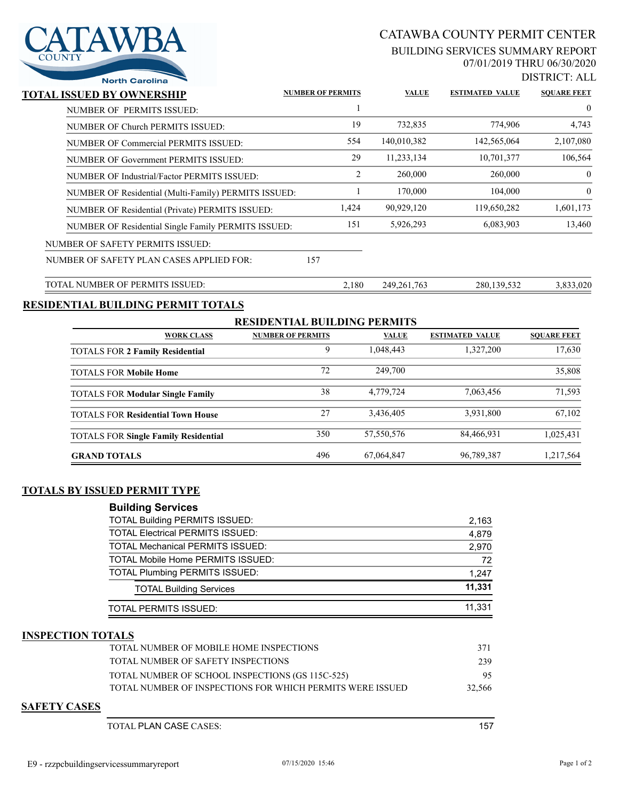

# CATAWBA COUNTY PERMIT CENTER

#### BUILDING SERVICES SUMMARY REPORT 07/01/2019 THRU 06/30/2020

DISTRICT: ALL

| <b>North Carolina</b>                                |                          |       |               |                        | 219 11 11 - 11 11 11 1 |
|------------------------------------------------------|--------------------------|-------|---------------|------------------------|------------------------|
| TOTAL ISSUED BY OWNERSHIP                            | <b>NUMBER OF PERMITS</b> |       | <b>VALUE</b>  | <b>ESTIMATED VALUE</b> | <b>SQUARE FEET</b>     |
| NUMBER OF PERMITS ISSUED:                            |                          |       |               |                        | $\overline{0}$         |
| NUMBER OF Church PERMITS ISSUED:                     |                          | 19    | 732,835       | 774,906                | 4,743                  |
| NUMBER OF Commercial PERMITS ISSUED:                 |                          | 554   | 140,010,382   | 142,565,064            | 2,107,080              |
| <b>NUMBER OF Government PERMITS ISSUED:</b>          |                          | 29    | 11,233,134    | 10,701,377             | 106,564                |
| NUMBER OF Industrial/Factor PERMITS ISSUED:          |                          | 2     | 260,000       | 260,000                | $\overline{0}$         |
| NUMBER OF Residential (Multi-Family) PERMITS ISSUED: |                          |       | 170,000       | 104,000                | $\theta$               |
| NUMBER OF Residential (Private) PERMITS ISSUED:      |                          | 1,424 | 90,929,120    | 119,650,282            | 1,601,173              |
| NUMBER OF Residential Single Family PERMITS ISSUED:  |                          | 151   | 5,926,293     | 6,083,903              | 13,460                 |
| NUMBER OF SAFETY PERMITS ISSUED:                     |                          |       |               |                        |                        |
| NUMBER OF SAFETY PLAN CASES APPLIED FOR:             | 157                      |       |               |                        |                        |
| TOTAL NUMBER OF PERMITS ISSUED:                      |                          | 2,180 | 249, 261, 763 | 280, 139, 532          | 3.833.020              |

### **RESIDENTIAL BUILDING PERMIT TOTALS**

| <b>RESIDENTIAL BUILDING PERMITS</b>         |                          |              |                        |                    |  |  |  |
|---------------------------------------------|--------------------------|--------------|------------------------|--------------------|--|--|--|
| <b>WORK CLASS</b>                           | <b>NUMBER OF PERMITS</b> | <b>VALUE</b> | <b>ESTIMATED VALUE</b> | <b>SOUARE FEET</b> |  |  |  |
| <b>TOTALS FOR 2 Family Residential</b>      | 9                        | 1.048.443    | 1,327,200              | 17,630             |  |  |  |
| <b>TOTALS FOR Mobile Home</b>               | 72                       | 249,700      |                        | 35,808             |  |  |  |
| <b>TOTALS FOR Modular Single Family</b>     | 38                       | 4,779,724    | 7,063,456              | 71,593             |  |  |  |
| <b>TOTALS FOR Residential Town House</b>    | 27                       | 3,436,405    | 3,931,800              | 67.102             |  |  |  |
| <b>TOTALS FOR Single Family Residential</b> | 350                      | 57,550,576   | 84,466,931             | 1,025,431          |  |  |  |
| <b>GRAND TOTALS</b>                         | 496                      | 67,064,847   | 96,789,387             | 1,217,564          |  |  |  |

### **TOTALS BY ISSUED PERMIT TYPE**

| <b>Building Services</b>                 |        |
|------------------------------------------|--------|
| <b>TOTAL Building PERMITS ISSUED:</b>    | 2,163  |
| <b>TOTAL Electrical PERMITS ISSUED:</b>  | 4.879  |
| <b>TOTAL Mechanical PERMITS ISSUED:</b>  | 2,970  |
| <b>TOTAL Mobile Home PERMITS ISSUED:</b> | 72     |
| <b>TOTAL Plumbing PERMITS ISSUED:</b>    | 1,247  |
| <b>TOTAL Building Services</b>           | 11.331 |
| TOTAL PERMITS ISSUED:                    | 11.331 |

#### **INSPECTION TOTALS**

| TOTAL NUMBER OF MOBILE HOME INSPECTIONS                    | 371    |
|------------------------------------------------------------|--------|
| TOTAL NUMBER OF SAFETY INSPECTIONS                         | 239    |
| TOTAL NUMBER OF SCHOOL INSPECTIONS (GS 115C-525)           | 95     |
| TOTAL NUMBER OF INSPECTIONS FOR WHICH PERMITS WERE ISSUED. | 32,566 |

#### **SAFETY CASES**

TOTAL PLAN CASE CASES: 157